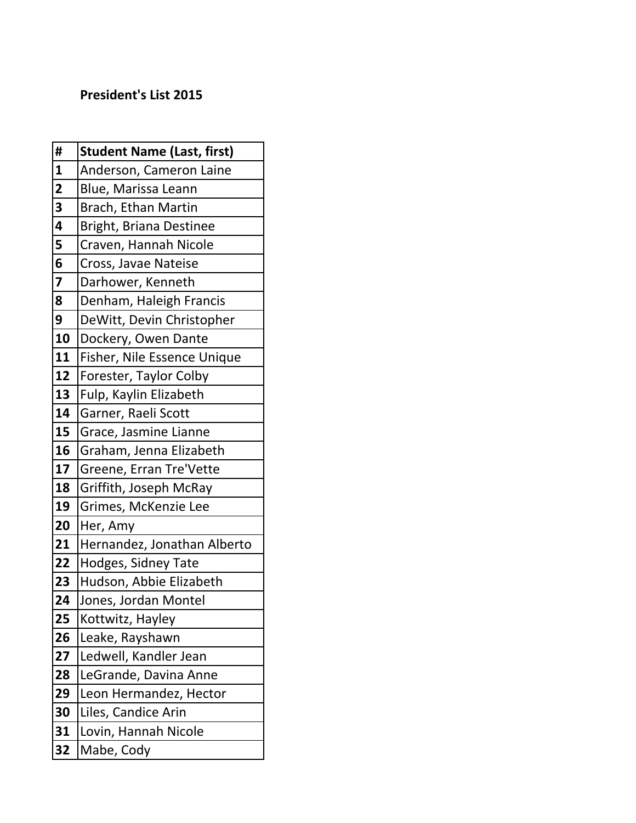## President's List 2015

| #                       | <b>Student Name (Last, first)</b> |
|-------------------------|-----------------------------------|
| $\mathbf{1}$            | Anderson, Cameron Laine           |
| $\overline{\mathbf{2}}$ | Blue, Marissa Leann               |
| $\overline{\mathbf{3}}$ | Brach, Ethan Martin               |
| 4                       | Bright, Briana Destinee           |
| 5                       | Craven, Hannah Nicole             |
| 6                       | Cross, Javae Nateise              |
| $\overline{\mathbf{z}}$ | Darhower, Kenneth                 |
| 8                       | Denham, Haleigh Francis           |
| 9                       | DeWitt, Devin Christopher         |
| 10                      | Dockery, Owen Dante               |
| 11                      | Fisher, Nile Essence Unique       |
| 12                      | Forester, Taylor Colby            |
| 13                      | Fulp, Kaylin Elizabeth            |
| 14                      | Garner, Raeli Scott               |
| 15                      | Grace, Jasmine Lianne             |
| 16                      | Graham, Jenna Elizabeth           |
| 17                      | Greene, Erran Tre'Vette           |
| 18                      | Griffith, Joseph McRay            |
| 19                      | Grimes, McKenzie Lee              |
| 20                      | Her, Amy                          |
| 21                      | Hernandez, Jonathan Alberto       |
| 22                      | Hodges, Sidney Tate               |
| 23                      | Hudson, Abbie Elizabeth           |
| 24                      | Jones, Jordan Montel              |
| 25                      | Kottwitz, Hayley                  |
| 26                      | Leake, Rayshawn                   |
| 27                      | Ledwell, Kandler Jean             |
| 28                      | LeGrande, Davina Anne             |
| 29                      | Leon Hermandez, Hector            |
| 30                      | Liles, Candice Arin               |
| 31                      | Lovin, Hannah Nicole              |
| 32                      | Mabe, Cody                        |